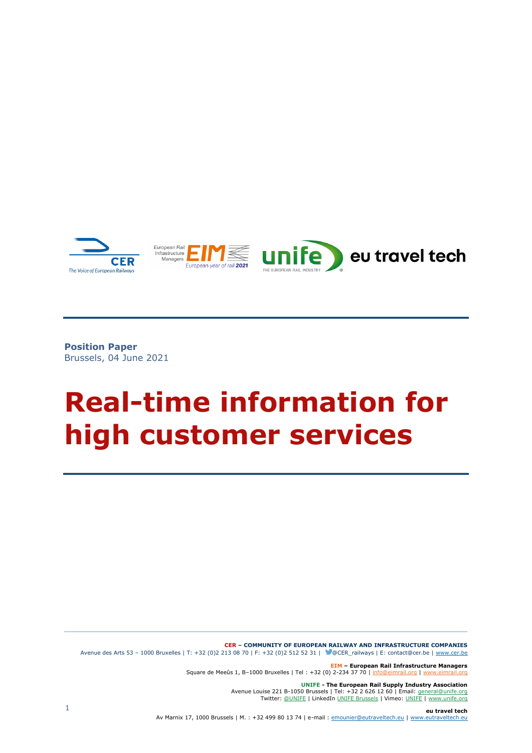

**Position Paper** Brussels, 04 June 2021

# **Real-time information for high customer services**

**CER ‒ COMMUNITY OF EUROPEAN RAILWAY AND INFRASTRUCTURE COMPANIES** Avenue des Arts 53 – 1000 Bruxelles | T: +32 (0)2 213 08 70 | F: +32 (0)2 512 52 31 | @CER\_railways | E: contact@cer.be [| www.cer.be](http://www.cer.be/)

> **EIM – European Rail Infrastructure Managers** Square de Meeûs 1, B-1000 Bruxelles | Tel : +32 (0) 2-234 37 70 | [info@eimrail.org](mailto:info@eimrail.org) | www

> > **UNIFE - The European Rail Supply Industry Association** Avenue Louise 221 B-1050 Brussels | Tel: +32 2 626 12 60 | Email: [general@unife.org](mailto:general@unife.org) Twitter: [@UNIFE](https://twitter.com/UNIFE) | LinkedIn UNIFE [Brussels](https://www.linkedin.com/company/unife---the-european-rail-industry/) | Vimeo: [UNIFE](https://vimeo.com/user57233307) [| www.unife.org](http://www.unife.org/)

**eu travel tech** Av Marnix 17, 1000 Brussels | M. : +32 499 80 13 74 | e-mail : [emounier@eutraveltech.eu](mailto:emounier@eutraveltech.eu) [| www.eutraveltech.eu](http://www.eutraveltech.eu/)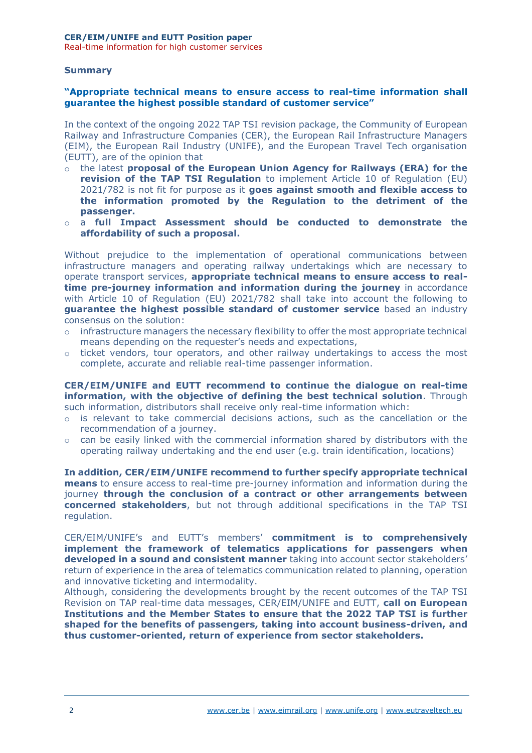Real-time information for high customer services

### **Summary**

### **"Appropriate technical means to ensure access to real-time information shall guarantee the highest possible standard of customer service"**

In the context of the ongoing 2022 TAP TSI revision package, the Community of European Railway and Infrastructure Companies (CER), the European Rail Infrastructure Managers (EIM), the European Rail Industry (UNIFE), and the European Travel Tech organisation (EUTT), are of the opinion that

- o the latest **proposal of the European Union Agency for Railways (ERA) for the revision of the TAP TSI Regulation** to implement Article 10 of Regulation (EU) 2021/782 is not fit for purpose as it **goes against smooth and flexible access to the information promoted by the Regulation to the detriment of the passenger.**
- o a **full Impact Assessment should be conducted to demonstrate the affordability of such a proposal.**

Without prejudice to the implementation of operational communications between infrastructure managers and operating railway undertakings which are necessary to operate transport services, **appropriate technical means to ensure access to realtime pre-journey information and information during the journey** in accordance with Article 10 of Regulation (EU) 2021/782 shall take into account the following to **guarantee the highest possible standard of customer service** based an industry consensus on the solution:

- $\circ$  infrastructure managers the necessary flexibility to offer the most appropriate technical means depending on the requester's needs and expectations,
- $\circ$  ticket vendors, tour operators, and other railway undertakings to access the most complete, accurate and reliable real-time passenger information.

**CER/EIM/UNIFE and EUTT recommend to continue the dialogue on real-time information, with the objective of defining the best technical solution**. Through such information, distributors shall receive only real-time information which:

- $\circ$  is relevant to take commercial decisions actions, such as the cancellation or the recommendation of a journey.
- $\circ$  can be easily linked with the commercial information shared by distributors with the operating railway undertaking and the end user (e.g. train identification, locations)

**In addition, CER/EIM/UNIFE recommend to further specify appropriate technical means** to ensure access to real-time pre-journey information and information during the journey **through the conclusion of a contract or other arrangements between concerned stakeholders**, but not through additional specifications in the TAP TSI regulation.

CER/EIM/UNIFE's and EUTT's members' **commitment is to comprehensively implement the framework of telematics applications for passengers when developed in a sound and consistent manner** taking into account sector stakeholders' return of experience in the area of telematics communication related to planning, operation and innovative ticketing and intermodality.

Although, considering the developments brought by the recent outcomes of the TAP TSI Revision on TAP real-time data messages, CER/EIM/UNIFE and EUTT, **call on European Institutions and the Member States to ensure that the 2022 TAP TSI is further shaped for the benefits of passengers, taking into account business-driven, and thus customer-oriented, return of experience from sector stakeholders.**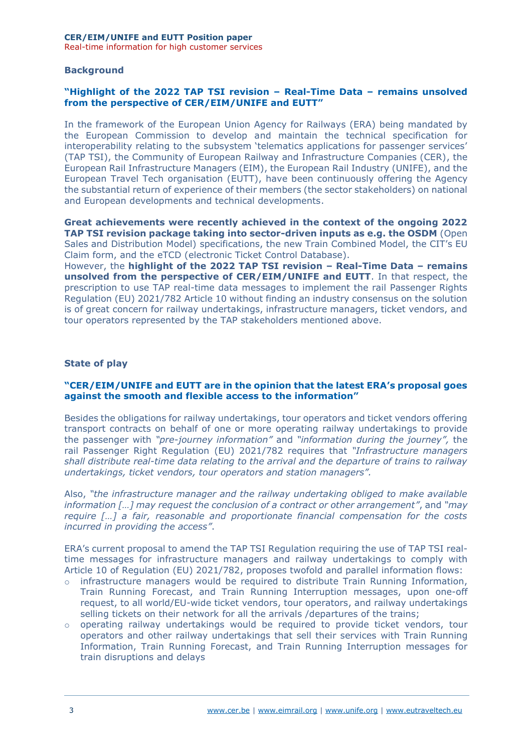## **Background**

# **"Highlight of the 2022 TAP TSI revision – Real-Time Data – remains unsolved from the perspective of CER/EIM/UNIFE and EUTT"**

In the framework of the European Union Agency for Railways (ERA) being mandated by the European Commission to develop and maintain the technical specification for interoperability relating to the subsystem 'telematics applications for passenger services' (TAP TSI), the Community of European Railway and Infrastructure Companies (CER), the European Rail Infrastructure Managers (EIM), the European Rail Industry (UNIFE), and the European Travel Tech organisation (EUTT), have been continuously offering the Agency the substantial return of experience of their members (the sector stakeholders) on national and European developments and technical developments.

**Great achievements were recently achieved in the context of the ongoing 2022 TAP TSI revision package taking into sector-driven inputs as e.g. the OSDM** (Open Sales and Distribution Model) specifications, the new Train Combined Model, the CIT's EU Claim form, and the eTCD (electronic Ticket Control Database).

However, the **highlight of the 2022 TAP TSI revision – Real-Time Data – remains unsolved from the perspective of CER/EIM/UNIFE and EUTT**. In that respect, the prescription to use TAP real-time data messages to implement the rail Passenger Rights Regulation (EU) 2021/782 Article 10 without finding an industry consensus on the solution is of great concern for railway undertakings, infrastructure managers, ticket vendors, and tour operators represented by the TAP stakeholders mentioned above.

#### **State of play**

## **"CER/EIM/UNIFE and EUTT are in the opinion that the latest ERA's proposal goes against the smooth and flexible access to the information"**

Besides the obligations for railway undertakings, tour operators and ticket vendors offering transport contracts on behalf of one or more operating railway undertakings to provide the passenger with *"pre-journey information"* and *"information during the journey",* the rail Passenger Right Regulation (EU) 2021/782 requires that *"Infrastructure managers shall distribute real-time data relating to the arrival and the departure of trains to railway undertakings, ticket vendors, tour operators and station managers".*

Also, *"the infrastructure manager and the railway undertaking obliged to make available information […] may request the conclusion of a contract or other arrangement"*, and *"may require […] a fair, reasonable and proportionate financial compensation for the costs incurred in providing the access"*.

ERA's current proposal to amend the TAP TSI Regulation requiring the use of TAP TSI realtime messages for infrastructure managers and railway undertakings to comply with Article 10 of Regulation (EU) 2021/782, proposes twofold and parallel information flows:

- $\circ$  infrastructure managers would be required to distribute Train Running Information, Train Running Forecast, and Train Running Interruption messages, upon one-off request, to all world/EU-wide ticket vendors, tour operators, and railway undertakings selling tickets on their network for all the arrivals /departures of the trains;
- o operating railway undertakings would be required to provide ticket vendors, tour operators and other railway undertakings that sell their services with Train Running Information, Train Running Forecast, and Train Running Interruption messages for train disruptions and delays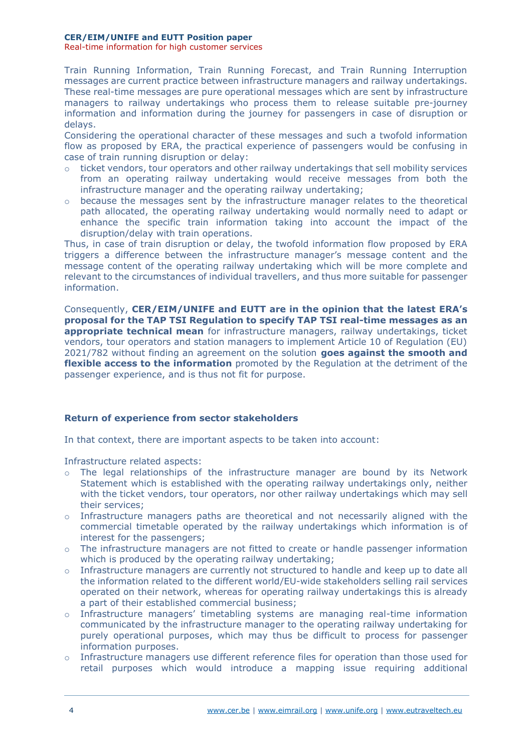#### **CER/EIM/UNIFE and EUTT Position paper**

Real-time information for high customer services

Train Running Information, Train Running Forecast, and Train Running Interruption messages are current practice between infrastructure managers and railway undertakings. These real-time messages are pure operational messages which are sent by infrastructure managers to railway undertakings who process them to release suitable pre-journey information and information during the journey for passengers in case of disruption or delays.

Considering the operational character of these messages and such a twofold information flow as proposed by ERA, the practical experience of passengers would be confusing in case of train running disruption or delay:

- o ticket vendors, tour operators and other railway undertakings that sell mobility services from an operating railway undertaking would receive messages from both the infrastructure manager and the operating railway undertaking;
- $\circ$  because the messages sent by the infrastructure manager relates to the theoretical path allocated, the operating railway undertaking would normally need to adapt or enhance the specific train information taking into account the impact of the disruption/delay with train operations.

Thus, in case of train disruption or delay, the twofold information flow proposed by ERA triggers a difference between the infrastructure manager's message content and the message content of the operating railway undertaking which will be more complete and relevant to the circumstances of individual travellers, and thus more suitable for passenger information.

Consequently, **CER/EIM/UNIFE and EUTT are in the opinion that the latest ERA's proposal for the TAP TSI Regulation to specify TAP TSI real-time messages as an appropriate technical mean** for infrastructure managers, railway undertakings, ticket vendors, tour operators and station managers to implement Article 10 of Regulation (EU) 2021/782 without finding an agreement on the solution **goes against the smooth and flexible access to the information** promoted by the Regulation at the detriment of the passenger experience, and is thus not fit for purpose.

## **Return of experience from sector stakeholders**

In that context, there are important aspects to be taken into account:

Infrastructure related aspects:

- o The legal relationships of the infrastructure manager are bound by its Network Statement which is established with the operating railway undertakings only, neither with the ticket vendors, tour operators, nor other railway undertakings which may sell their services;
- $\circ$  Infrastructure managers paths are theoretical and not necessarily aligned with the commercial timetable operated by the railway undertakings which information is of interest for the passengers;
- $\circ$  The infrastructure managers are not fitted to create or handle passenger information which is produced by the operating railway undertaking;
- $\circ$  Infrastructure managers are currently not structured to handle and keep up to date all the information related to the different world/EU-wide stakeholders selling rail services operated on their network, whereas for operating railway undertakings this is already a part of their established commercial business;
- o Infrastructure managers' timetabling systems are managing real-time information communicated by the infrastructure manager to the operating railway undertaking for purely operational purposes, which may thus be difficult to process for passenger information purposes.
- $\circ$  Infrastructure managers use different reference files for operation than those used for retail purposes which would introduce a mapping issue requiring additional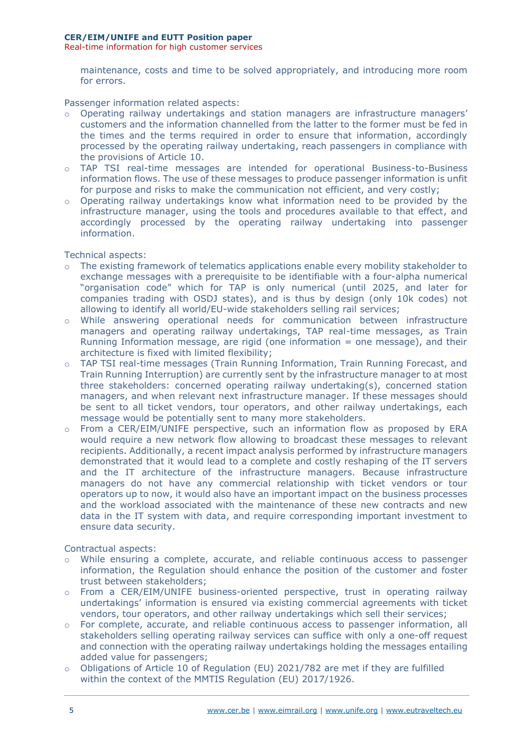Real-time information for high customer services

maintenance, costs and time to be solved appropriately, and introducing more room for errors.

Passenger information related aspects:

- o Operating railway undertakings and station managers are infrastructure managers' customers and the information channelled from the latter to the former must be fed in the times and the terms required in order to ensure that information, accordingly processed by the operating railway undertaking, reach passengers in compliance with the provisions of Article 10.
- o TAP TSI real-time messages are intended for operational Business-to-Business information flows. The use of these messages to produce passenger information is unfit for purpose and risks to make the communication not efficient, and very costly;
- $\circ$  Operating railway undertakings know what information need to be provided by the infrastructure manager, using the tools and procedures available to that effect, and accordingly processed by the operating railway undertaking into passenger information.

Technical aspects:

- o The existing framework of telematics applications enable every mobility stakeholder to exchange messages with a prerequisite to be identifiable with a four-alpha numerical "organisation code" which for TAP is only numerical (until 2025, and later for companies trading with OSDJ states), and is thus by design (only 10k codes) not allowing to identify all world/EU-wide stakeholders selling rail services;
- o While answering operational needs for communication between infrastructure managers and operating railway undertakings, TAP real-time messages, as Train Running Information message, are rigid (one information  $=$  one message), and their architecture is fixed with limited flexibility;
- o TAP TSI real-time messages (Train Running Information, Train Running Forecast, and Train Running Interruption) are currently sent by the infrastructure manager to at most three stakeholders: concerned operating railway undertaking(s), concerned station managers, and when relevant next infrastructure manager. If these messages should be sent to all ticket vendors, tour operators, and other railway undertakings, each message would be potentially sent to many more stakeholders.
- From a CER/EIM/UNIFE perspective, such an information flow as proposed by ERA would require a new network flow allowing to broadcast these messages to relevant recipients. Additionally, a recent impact analysis performed by infrastructure managers demonstrated that it would lead to a complete and costly reshaping of the IT servers and the IT architecture of the infrastructure managers. Because infrastructure managers do not have any commercial relationship with ticket vendors or tour operators up to now, it would also have an important impact on the business processes and the workload associated with the maintenance of these new contracts and new data in the IT system with data, and require corresponding important investment to ensure data security.

Contractual aspects:

- While ensuring a complete, accurate, and reliable continuous access to passenger information, the Regulation should enhance the position of the customer and foster trust between stakeholders;
- o From a CER/EIM/UNIFE business-oriented perspective, trust in operating railway undertakings' information is ensured via existing commercial agreements with ticket vendors, tour operators, and other railway undertakings which sell their services;
- o For complete, accurate, and reliable continuous access to passenger information, all stakeholders selling operating railway services can suffice with only a one-off request and connection with the operating railway undertakings holding the messages entailing added value for passengers;
- $\circ$  Obligations of Article 10 of Regulation (EU) 2021/782 are met if they are fulfilled within the context of the MMTIS Regulation (EU) 2017/1926.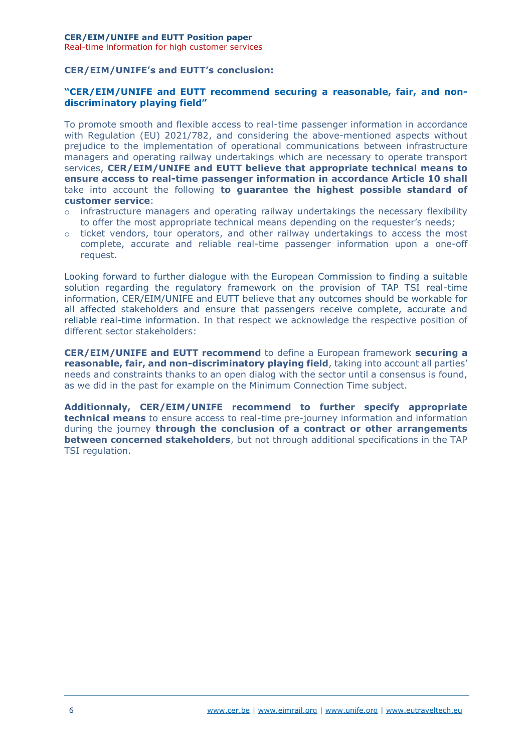Real-time information for high customer services

# **CER/EIM/UNIFE's and EUTT's conclusion:**

# **"CER/EIM/UNIFE and EUTT recommend securing a reasonable, fair, and nondiscriminatory playing field"**

To promote smooth and flexible access to real-time passenger information in accordance with Regulation (EU) 2021/782, and considering the above-mentioned aspects without prejudice to the implementation of operational communications between infrastructure managers and operating railway undertakings which are necessary to operate transport services, **CER/EIM/UNIFE and EUTT believe that appropriate technical means to ensure access to real-time passenger information in accordance Article 10 shall** take into account the following **to guarantee the highest possible standard of customer service**:

- $\circ$  infrastructure managers and operating railway undertakings the necessary flexibility to offer the most appropriate technical means depending on the requester's needs;
- $\circ$  ticket vendors, tour operators, and other railway undertakings to access the most complete, accurate and reliable real-time passenger information upon a one-off request.

Looking forward to further dialogue with the European Commission to finding a suitable solution regarding the regulatory framework on the provision of TAP TSI real-time information, CER/EIM/UNIFE and EUTT believe that any outcomes should be workable for all affected stakeholders and ensure that passengers receive complete, accurate and reliable real-time information. In that respect we acknowledge the respective position of different sector stakeholders:

**CER/EIM/UNIFE and EUTT recommend** to define a European framework **securing a reasonable, fair, and non-discriminatory playing field**, taking into account all parties' needs and constraints thanks to an open dialog with the sector until a consensus is found, as we did in the past for example on the Minimum Connection Time subject.

**Additionnaly, CER/EIM/UNIFE recommend to further specify appropriate technical means** to ensure access to real-time pre-journey information and information during the journey **through the conclusion of a contract or other arrangements between concerned stakeholders**, but not through additional specifications in the TAP TSI regulation.